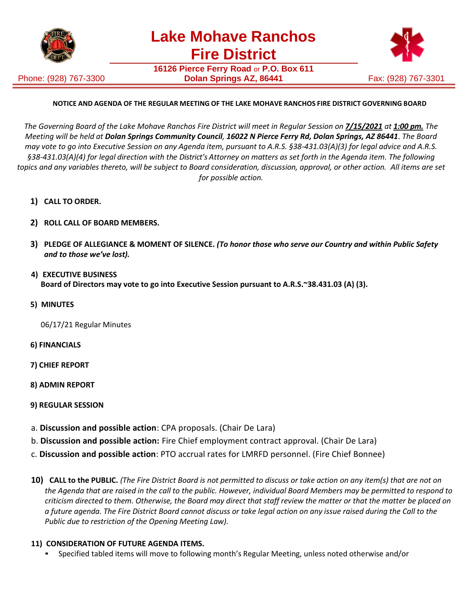

Phone: (928) 767-3300

**16126 Pierce Ferry Road** or **P.O. Box 611 Dolan Springs AZ, 86441** Fax: (928) 767-3301



## **NOTICE AND AGENDA OF THE REGULAR MEETING OF THE LAKE MOHAVE RANCHOS FIRE DISTRICT GOVERNING BOARD**

The Governing Board of the Lake Mohave Ranchos Fire District will meet in Regular Session on 7/15/2021 at 1:00 pm. The *Meeting will be held at Dolan Springs Community Council, 16022 N Pierce Ferry Rd, Dolan Springs, AZ 86441*. *The Board may vote to go into Executive Session on any Agenda item, pursuant to A.R.S. §38-431.03(A)(3) for legal advice and A.R.S. §38-431.03(A)(4) for legal direction with the District's Attorney on matters as set forth in the Agenda item. The following topics and any variables thereto, will be subject to Board consideration, discussion, approval, or other action. All items are set for possible action.*

- **1) CALL TO ORDER.**
- **2) ROLL CALL OF BOARD MEMBERS.**
- **3) PLEDGE OF ALLEGIANCE & MOMENT OF SILENCE.** *(To honor those who serve our Country and within Public Safety and to those we've lost).*
- **4) EXECUTIVE BUSINESS Board of Directors may vote to go into Executive Session pursuant to A.R.S.~38.431.03 (A) (3).**
- **5) MINUTES**

06/17/21 Regular Minutes

- **6) FINANCIALS**
- **7) CHIEF REPORT**
- **8) ADMIN REPORT**
- **9) REGULAR SESSION**
- a. **Discussion and possible action**: CPA proposals. (Chair De Lara)
- b. **Discussion and possible action:** Fire Chief employment contract approval. (Chair De Lara)
- c. **Discussion and possible action**: PTO accrual rates for LMRFD personnel. (Fire Chief Bonnee)
- **10)** CALL to the PUBLIC. (The Fire District Board is not permitted to discuss or take action on any item(s) that are not on *the Agenda that are raised in the call to the public. However, individual Board Members may be permitted to respond to criticism directed to them. Otherwise, the Board may direct that staff review the matter or that the matter be placed on a future agenda. The Fire District Board cannot discuss or take legal action on any issue raised during the Call to the Public due to restriction of the Opening Meeting Law).*

## **11) CONSIDERATION OF FUTURE AGENDA ITEMS.**

▪ Specified tabled items will move to following month's Regular Meeting, unless noted otherwise and/or